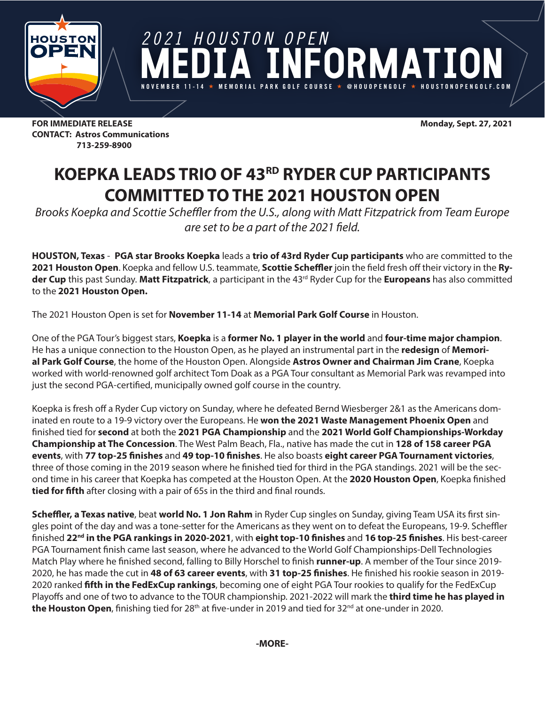

*2021 HOUSTON OPEN* DR MAT **NOVEMBER 11-14 MEMORIAL PARK GOLF COURSE @HOUOPENGOLF HOUSTONOPENGOLF.COM**

**FOR IMMEDIATE RELEASE Monday, Sept. 27, 2021 CONTACT: Astros Communications 713-259-8900**

## **KOEPKA LEADS TRIO OF 43RD RYDER CUP PARTICIPANTS COMMITTED TO THE 2021 HOUSTON OPEN**

*Brooks Koepka and Scottie Scheffler from the U.S., along with Matt Fitzpatrick from Team Europe are set to be a part of the 2021 field.*

**HOUSTON, Texas** - **PGA star Brooks Koepka** leads a **trio of 43rd Ryder Cup participants** who are committed to the **2021 Houston Open**. Koepka and fellow U.S. teammate, **Scottie Scheffler** join the field fresh off their victory in the **Ryder Cup** this past Sunday. **Matt Fitzpatrick**, a participant in the 43rd Ryder Cup for the **Europeans** has also committed to the **2021 Houston Open.**

The 2021 Houston Open is set for **November 11-14** at **Memorial Park Golf Course** in Houston.

One of the PGA Tour's biggest stars, **Koepka** is a **former No. 1 player in the world** and **four-time major champion**. He has a unique connection to the Houston Open, as he played an instrumental part in the **redesign** of **Memorial Park Golf Course**, the home of the Houston Open. Alongside **Astros Owner and Chairman Jim Crane**, Koepka worked with world-renowned golf architect Tom Doak as a PGA Tour consultant as Memorial Park was revamped into just the second PGA-certified, municipally owned golf course in the country.

Koepka is fresh off a Ryder Cup victory on Sunday, where he defeated Bernd Wiesberger 2&1 as the Americans dominated en route to a 19-9 victory over the Europeans. He **won the 2021 Waste Management Phoenix Open** and finished tied for **second** at both the **2021 PGA Championship** and the **2021 World Golf Championships-Workday Championship at The Concession**. The West Palm Beach, Fla., native has made the cut in **128 of 158 career PGA events**, with **77 top-25 finishes** and **49 top-10 finishes**. He also boasts **eight career PGA Tournament victories**, three of those coming in the 2019 season where he finished tied for third in the PGA standings. 2021 will be the second time in his career that Koepka has competed at the Houston Open. At the **2020 Houston Open**, Koepka finished **tied for fifth** after closing with a pair of 65s in the third and final rounds.

**Scheffler, a Texas native**, beat **world No. 1 Jon Rahm** in Ryder Cup singles on Sunday, giving Team USA its first singles point of the day and was a tone-setter for the Americans as they went on to defeat the Europeans, 19-9. Scheffler finished **22nd in the PGA rankings in 2020-2021**, with **eight top-10 finishes** and **16 top-25 finishes**. His best-career PGA Tournament finish came last season, where he advanced to the World Golf Championships-Dell Technologies Match Play where he finished second, falling to Billy Horschel to finish **runner-up**. A member of the Tour since 2019- 2020, he has made the cut in **48 of 63 career events**, with **31 top-25 finishes**. He finished his rookie season in 2019- 2020 ranked **fifth in the FedExCup rankings**, becoming one of eight PGA Tour rookies to qualify for the FedExCup Playoffs and one of two to advance to the TOUR championship. 2021-2022 will mark the **third time he has played in the Houston Open**, finishing tied for 28<sup>th</sup> at five-under in 2019 and tied for 32<sup>nd</sup> at one-under in 2020.